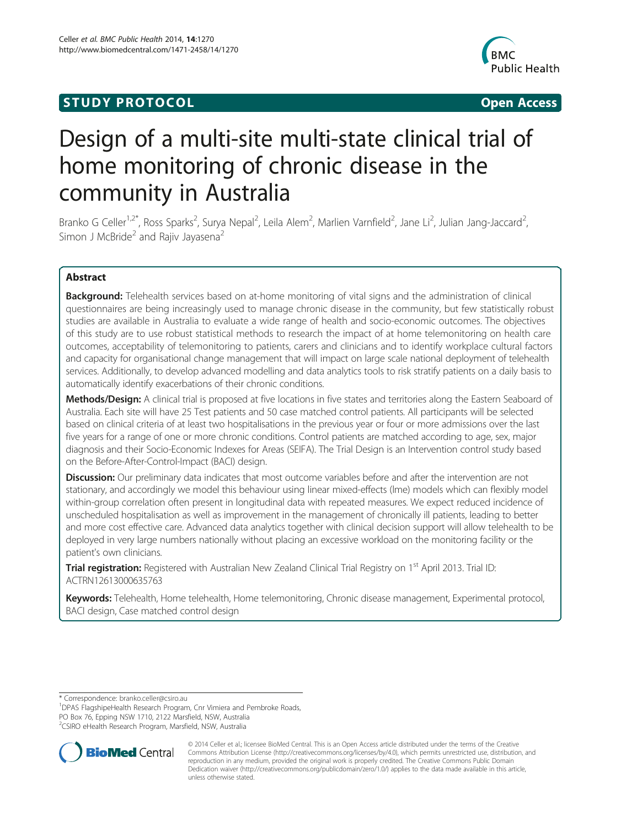## **STUDY PROTOCOL CONSUMING THE CONSUMING OPEN ACCESS**



# Design of a multi-site multi-state clinical trial of home monitoring of chronic disease in the community in Australia

Branko G Celler<sup>1,2\*</sup>, Ross Sparks<sup>2</sup>, Surya Nepal<sup>2</sup>, Leila Alem<sup>2</sup>, Marlien Varnfield<sup>2</sup>, Jane Li<sup>2</sup>, Julian Jang-Jaccard<sup>2</sup> , Simon J McBride<sup>2</sup> and Rajiv Jayasena<sup>2</sup>

## Abstract

Background: Telehealth services based on at-home monitoring of vital signs and the administration of clinical questionnaires are being increasingly used to manage chronic disease in the community, but few statistically robust studies are available in Australia to evaluate a wide range of health and socio-economic outcomes. The objectives of this study are to use robust statistical methods to research the impact of at home telemonitoring on health care outcomes, acceptability of telemonitoring to patients, carers and clinicians and to identify workplace cultural factors and capacity for organisational change management that will impact on large scale national deployment of telehealth services. Additionally, to develop advanced modelling and data analytics tools to risk stratify patients on a daily basis to automatically identify exacerbations of their chronic conditions.

Methods/Design: A clinical trial is proposed at five locations in five states and territories along the Eastern Seaboard of Australia. Each site will have 25 Test patients and 50 case matched control patients. All participants will be selected based on clinical criteria of at least two hospitalisations in the previous year or four or more admissions over the last five years for a range of one or more chronic conditions. Control patients are matched according to age, sex, major diagnosis and their Socio-Economic Indexes for Areas (SEIFA). The Trial Design is an Intervention control study based on the Before-After-Control-Impact (BACI) design.

**Discussion:** Our preliminary data indicates that most outcome variables before and after the intervention are not stationary, and accordingly we model this behaviour using linear mixed-effects (lme) models which can flexibly model within-group correlation often present in longitudinal data with repeated measures. We expect reduced incidence of unscheduled hospitalisation as well as improvement in the management of chronically ill patients, leading to better and more cost effective care. Advanced data analytics together with clinical decision support will allow telehealth to be deployed in very large numbers nationally without placing an excessive workload on the monitoring facility or the patient's own clinicians.

Trial registration: Registered with Australian New Zealand Clinical Trial Registry on 1<sup>st</sup> April 2013. Trial ID: [ACTRN12613000635763](http://www.anzctr.org.au/TrialSearch.aspx?searchTxt=12613000635763&ddlSearch=Registered)

Keywords: Telehealth, Home telehealth, Home telemonitoring, Chronic disease management, Experimental protocol, BACI design, Case matched control design

\* Correspondence: [branko.celler@csiro.au](mailto:branko.celler@csiro.au) <sup>1</sup>

<sup>1</sup>DPAS FlagshipeHealth Research Program, Cnr Vimiera and Pembroke Roads, PO Box 76, Epping NSW 1710, 2122 Marsfield, NSW, Australia 2 CSIRO eHealth Research Program, Marsfield, NSW, Australia



© 2014 Celler et al.; licensee BioMed Central. This is an Open Access article distributed under the terms of the Creative Commons Attribution License [\(http://creativecommons.org/licenses/by/4.0\)](http://creativecommons.org/licenses/by/4.0), which permits unrestricted use, distribution, and reproduction in any medium, provided the original work is properly credited. The Creative Commons Public Domain Dedication waiver [\(http://creativecommons.org/publicdomain/zero/1.0/](http://creativecommons.org/publicdomain/zero/1.0/)) applies to the data made available in this article, unless otherwise stated.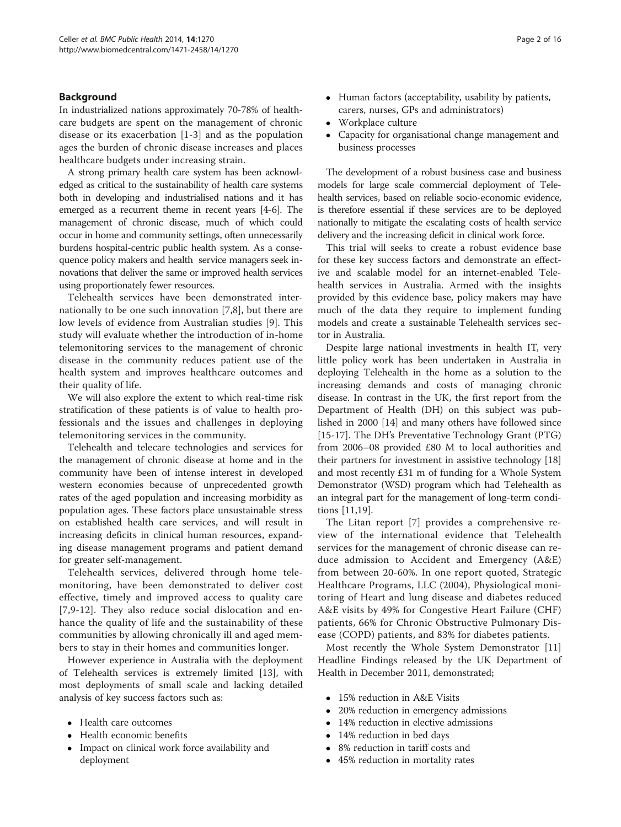## Background

In industrialized nations approximately 70-78% of healthcare budgets are spent on the management of chronic disease or its exacerbation [\[1-3](#page-14-0)] and as the population ages the burden of chronic disease increases and places healthcare budgets under increasing strain.

A strong primary health care system has been acknowledged as critical to the sustainability of health care systems both in developing and industrialised nations and it has emerged as a recurrent theme in recent years [[4](#page-14-0)-[6](#page-15-0)]. The management of chronic disease, much of which could occur in home and community settings, often unnecessarily burdens hospital-centric public health system. As a consequence policy makers and health service managers seek innovations that deliver the same or improved health services using proportionately fewer resources.

Telehealth services have been demonstrated internationally to be one such innovation [[7,8](#page-15-0)], but there are low levels of evidence from Australian studies [\[9](#page-15-0)]. This study will evaluate whether the introduction of in-home telemonitoring services to the management of chronic disease in the community reduces patient use of the health system and improves healthcare outcomes and their quality of life.

We will also explore the extent to which real-time risk stratification of these patients is of value to health professionals and the issues and challenges in deploying telemonitoring services in the community.

Telehealth and telecare technologies and services for the management of chronic disease at home and in the community have been of intense interest in developed western economies because of unprecedented growth rates of the aged population and increasing morbidity as population ages. These factors place unsustainable stress on established health care services, and will result in increasing deficits in clinical human resources, expanding disease management programs and patient demand for greater self-management.

Telehealth services, delivered through home telemonitoring, have been demonstrated to deliver cost effective, timely and improved access to quality care [[7,9-12\]](#page-15-0). They also reduce social dislocation and enhance the quality of life and the sustainability of these communities by allowing chronically ill and aged members to stay in their homes and communities longer.

However experience in Australia with the deployment of Telehealth services is extremely limited [[13\]](#page-15-0), with most deployments of small scale and lacking detailed analysis of key success factors such as:

- Health care outcomes
- Health economic benefits
- Impact on clinical work force availability and deployment
- Human factors (acceptability, usability by patients, carers, nurses, GPs and administrators)
- Workplace culture
- Capacity for organisational change management and business processes

The development of a robust business case and business models for large scale commercial deployment of Telehealth services, based on reliable socio-economic evidence, is therefore essential if these services are to be deployed nationally to mitigate the escalating costs of health service delivery and the increasing deficit in clinical work force.

This trial will seeks to create a robust evidence base for these key success factors and demonstrate an effective and scalable model for an internet-enabled Telehealth services in Australia. Armed with the insights provided by this evidence base, policy makers may have much of the data they require to implement funding models and create a sustainable Telehealth services sector in Australia.

Despite large national investments in health IT, very little policy work has been undertaken in Australia in deploying Telehealth in the home as a solution to the increasing demands and costs of managing chronic disease. In contrast in the UK, the first report from the Department of Health (DH) on this subject was published in 2000 [\[14](#page-15-0)] and many others have followed since [[15-17](#page-15-0)]. The DH's Preventative Technology Grant (PTG) from 2006–08 provided £80 M to local authorities and their partners for investment in assistive technology [[18](#page-15-0)] and most recently £31 m of funding for a Whole System Demonstrator (WSD) program which had Telehealth as an integral part for the management of long-term conditions [[11,19\]](#page-15-0).

The Litan report [[7](#page-15-0)] provides a comprehensive review of the international evidence that Telehealth services for the management of chronic disease can reduce admission to Accident and Emergency (A&E) from between 20-60%. In one report quoted, Strategic Healthcare Programs, LLC (2004), Physiological monitoring of Heart and lung disease and diabetes reduced A&E visits by 49% for Congestive Heart Failure (CHF) patients, 66% for Chronic Obstructive Pulmonary Disease (COPD) patients, and 83% for diabetes patients.

Most recently the Whole System Demonstrator [[11](#page-15-0)] Headline Findings released by the UK Department of Health in December 2011, demonstrated;

- 15% reduction in A&E Visits
- 20% reduction in emergency admissions
- 14% reduction in elective admissions
- 14% reduction in bed days
- 8% reduction in tariff costs and
- 45% reduction in mortality rates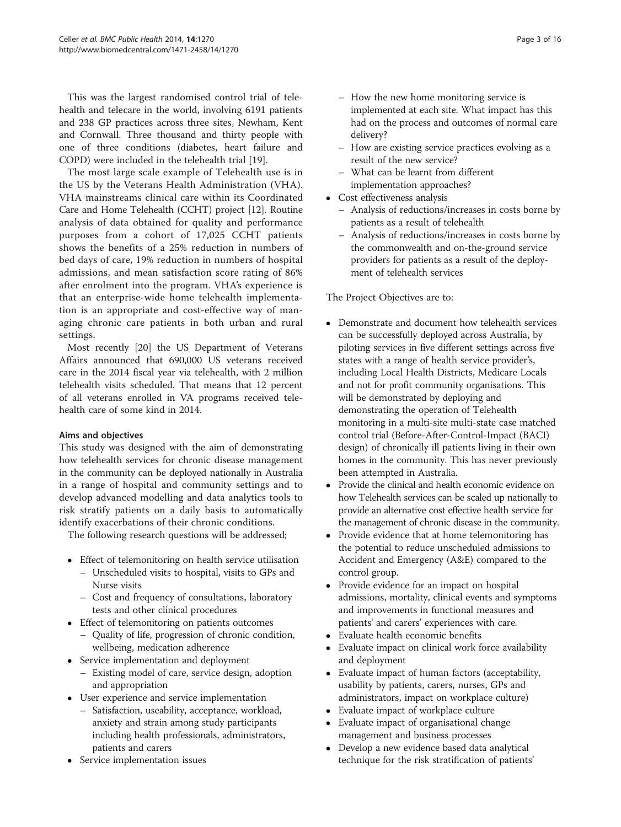This was the largest randomised control trial of telehealth and telecare in the world, involving 6191 patients and 238 GP practices across three sites, Newham, Kent and Cornwall. Three thousand and thirty people with one of three conditions (diabetes, heart failure and COPD) were included in the telehealth trial [[19\]](#page-15-0).

The most large scale example of Telehealth use is in the US by the Veterans Health Administration (VHA). VHA mainstreams clinical care within its Coordinated Care and Home Telehealth (CCHT) project [\[12\]](#page-15-0). Routine analysis of data obtained for quality and performance purposes from a cohort of 17,025 CCHT patients shows the benefits of a 25% reduction in numbers of bed days of care, 19% reduction in numbers of hospital admissions, and mean satisfaction score rating of 86% after enrolment into the program. VHA's experience is that an enterprise-wide home telehealth implementation is an appropriate and cost-effective way of managing chronic care patients in both urban and rural settings.

Most recently [\[20](#page-15-0)] the US Department of Veterans Affairs announced that 690,000 US veterans received care in the 2014 fiscal year via telehealth, with 2 million telehealth visits scheduled. That means that 12 percent of all veterans enrolled in VA programs received telehealth care of some kind in 2014.

## Aims and objectives

This study was designed with the aim of demonstrating how telehealth services for chronic disease management in the community can be deployed nationally in Australia in a range of hospital and community settings and to develop advanced modelling and data analytics tools to risk stratify patients on a daily basis to automatically identify exacerbations of their chronic conditions.

The following research questions will be addressed;

- Effect of telemonitoring on health service utilisation
	- Unscheduled visits to hospital, visits to GPs and Nurse visits
	- Cost and frequency of consultations, laboratory tests and other clinical procedures
- Effect of telemonitoring on patients outcomes
	- Quality of life, progression of chronic condition, wellbeing, medication adherence
- Service implementation and deployment
	- Existing model of care, service design, adoption and appropriation
- User experience and service implementation
	- Satisfaction, useability, acceptance, workload, anxiety and strain among study participants including health professionals, administrators, patients and carers
- Service implementation issues
- How the new home monitoring service is implemented at each site. What impact has this had on the process and outcomes of normal care delivery?
- How are existing service practices evolving as a result of the new service?
- What can be learnt from different implementation approaches?
- Cost effectiveness analysis
	- Analysis of reductions/increases in costs borne by patients as a result of telehealth
	- Analysis of reductions/increases in costs borne by the commonwealth and on-the-ground service providers for patients as a result of the deployment of telehealth services

The Project Objectives are to:

- Demonstrate and document how telehealth services can be successfully deployed across Australia, by piloting services in five different settings across five states with a range of health service provider's, including Local Health Districts, Medicare Locals and not for profit community organisations. This will be demonstrated by deploying and demonstrating the operation of Telehealth monitoring in a multi-site multi-state case matched control trial (Before-After-Control-Impact (BACI) design) of chronically ill patients living in their own homes in the community. This has never previously been attempted in Australia.
- Provide the clinical and health economic evidence on how Telehealth services can be scaled up nationally to provide an alternative cost effective health service for the management of chronic disease in the community.
- Provide evidence that at home telemonitoring has the potential to reduce unscheduled admissions to Accident and Emergency (A&E) compared to the control group.
- Provide evidence for an impact on hospital admissions, mortality, clinical events and symptoms and improvements in functional measures and patients' and carers' experiences with care.
- Evaluate health economic benefits
- Evaluate impact on clinical work force availability and deployment
- Evaluate impact of human factors (acceptability, usability by patients, carers, nurses, GPs and administrators, impact on workplace culture)
- Evaluate impact of workplace culture
- Evaluate impact of organisational change management and business processes
- Develop a new evidence based data analytical technique for the risk stratification of patients'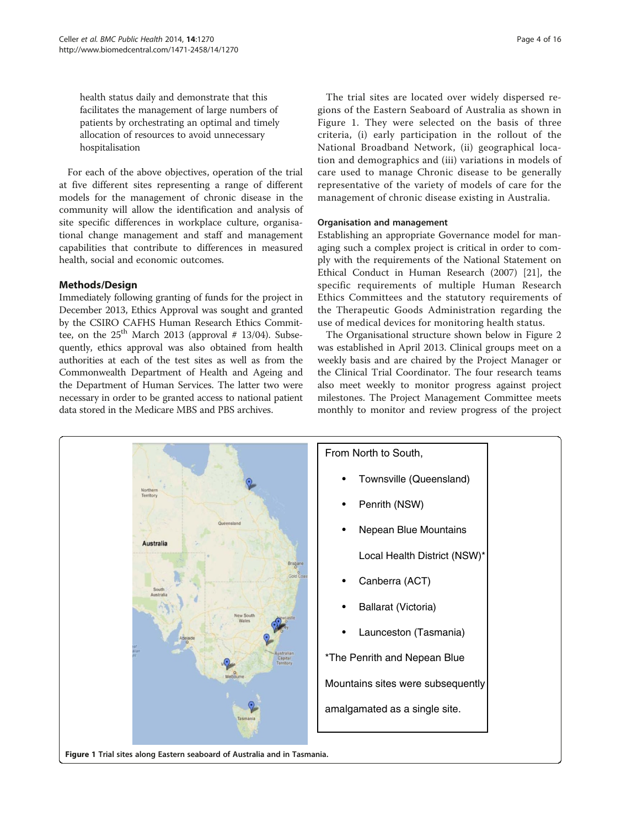health status daily and demonstrate that this facilitates the management of large numbers of patients by orchestrating an optimal and timely allocation of resources to avoid unnecessary hospitalisation

For each of the above objectives, operation of the trial at five different sites representing a range of different models for the management of chronic disease in the community will allow the identification and analysis of site specific differences in workplace culture, organisational change management and staff and management capabilities that contribute to differences in measured health, social and economic outcomes.

## Methods/Design

Immediately following granting of funds for the project in December 2013, Ethics Approval was sought and granted by the CSIRO CAFHS Human Research Ethics Committee, on the  $25<sup>th</sup>$  March 2013 (approval # 13/04). Subsequently, ethics approval was also obtained from health authorities at each of the test sites as well as from the Commonwealth Department of Health and Ageing and the Department of Human Services. The latter two were necessary in order to be granted access to national patient data stored in the Medicare MBS and PBS archives.

The trial sites are located over widely dispersed regions of the Eastern Seaboard of Australia as shown in Figure 1. They were selected on the basis of three criteria, (i) early participation in the rollout of the National Broadband Network, (ii) geographical location and demographics and (iii) variations in models of care used to manage Chronic disease to be generally representative of the variety of models of care for the management of chronic disease existing in Australia.

## Organisation and management

Establishing an appropriate Governance model for managing such a complex project is critical in order to comply with the requirements of the National Statement on Ethical Conduct in Human Research (2007) [\[21\]](#page-15-0), the specific requirements of multiple Human Research Ethics Committees and the statutory requirements of the Therapeutic Goods Administration regarding the use of medical devices for monitoring health status.

The Organisational structure shown below in Figure [2](#page-4-0) was established in April 2013. Clinical groups meet on a weekly basis and are chaired by the Project Manager or the Clinical Trial Coordinator. The four research teams also meet weekly to monitor progress against project milestones. The Project Management Committee meets monthly to monitor and review progress of the project

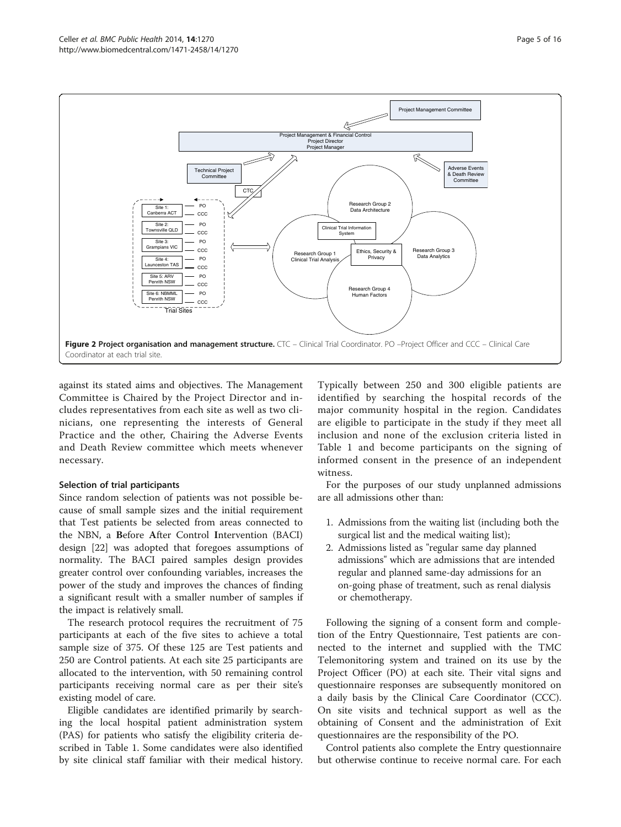<span id="page-4-0"></span>

against its stated aims and objectives. The Management Committee is Chaired by the Project Director and includes representatives from each site as well as two clinicians, one representing the interests of General Practice and the other, Chairing the Adverse Events and Death Review committee which meets whenever necessary.

## Selection of trial participants

Since random selection of patients was not possible because of small sample sizes and the initial requirement that Test patients be selected from areas connected to the NBN, a Before After Control Intervention (BACI) design [[22\]](#page-15-0) was adopted that foregoes assumptions of normality. The BACI paired samples design provides greater control over confounding variables, increases the power of the study and improves the chances of finding a significant result with a smaller number of samples if the impact is relatively small.

The research protocol requires the recruitment of 75 participants at each of the five sites to achieve a total sample size of 375. Of these 125 are Test patients and 250 are Control patients. At each site 25 participants are allocated to the intervention, with 50 remaining control participants receiving normal care as per their site's existing model of care.

Eligible candidates are identified primarily by searching the local hospital patient administration system (PAS) for patients who satisfy the eligibility criteria described in Table [1](#page-5-0). Some candidates were also identified by site clinical staff familiar with their medical history.

Typically between 250 and 300 eligible patients are identified by searching the hospital records of the major community hospital in the region. Candidates are eligible to participate in the study if they meet all inclusion and none of the exclusion criteria listed in Table [1](#page-5-0) and become participants on the signing of informed consent in the presence of an independent witness.

For the purposes of our study unplanned admissions are all admissions other than:

- 1. Admissions from the waiting list (including both the surgical list and the medical waiting list);
- 2. Admissions listed as "regular same day planned admissions" which are admissions that are intended regular and planned same‐day admissions for an on‐going phase of treatment, such as renal dialysis or chemotherapy.

Following the signing of a consent form and completion of the Entry Questionnaire, Test patients are connected to the internet and supplied with the TMC Telemonitoring system and trained on its use by the Project Officer (PO) at each site. Their vital signs and questionnaire responses are subsequently monitored on a daily basis by the Clinical Care Coordinator (CCC). On site visits and technical support as well as the obtaining of Consent and the administration of Exit questionnaires are the responsibility of the PO.

Control patients also complete the Entry questionnaire but otherwise continue to receive normal care. For each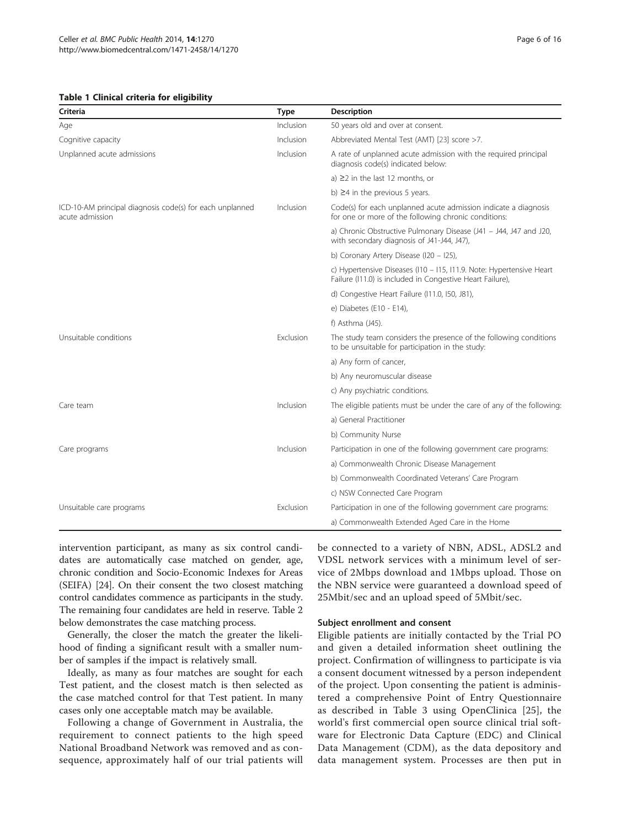<span id="page-5-0"></span>Table 1 Clinical criteria for eligibility

| Criteria                                                                    | <b>Type</b> | <b>Description</b>                                                                                                                |
|-----------------------------------------------------------------------------|-------------|-----------------------------------------------------------------------------------------------------------------------------------|
| Age                                                                         | Inclusion   | 50 years old and over at consent.                                                                                                 |
| Cognitive capacity                                                          | Inclusion   | Abbreviated Mental Test (AMT) [23] score >7.                                                                                      |
| Unplanned acute admissions                                                  | Inclusion   | A rate of unplanned acute admission with the required principal<br>diagnosis code(s) indicated below:                             |
|                                                                             |             | a) $\geq$ 2 in the last 12 months, or                                                                                             |
|                                                                             |             | b) $\geq$ 4 in the previous 5 years.                                                                                              |
| ICD-10-AM principal diagnosis code(s) for each unplanned<br>acute admission | Inclusion   | Code(s) for each unplanned acute admission indicate a diagnosis<br>for one or more of the following chronic conditions:           |
|                                                                             |             | a) Chronic Obstructive Pulmonary Disease (J41 - J44, J47 and J20,<br>with secondary diagnosis of J41-J44, J47),                   |
|                                                                             |             | b) Coronary Artery Disease ( $120 - 125$ ),                                                                                       |
|                                                                             |             | c) Hypertensive Diseases (I10 - I15, I11.9. Note: Hypertensive Heart<br>Failure (I11.0) is included in Congestive Heart Failure), |
|                                                                             |             | d) Congestive Heart Failure (111.0, 150, J81),                                                                                    |
|                                                                             |             | e) Diabetes (E10 - E14),                                                                                                          |
|                                                                             |             | f) Asthma (J45).                                                                                                                  |
| Unsuitable conditions                                                       | Exclusion   | The study team considers the presence of the following conditions<br>to be unsuitable for participation in the study:             |
|                                                                             |             | a) Any form of cancer,                                                                                                            |
|                                                                             |             | b) Any neuromuscular disease                                                                                                      |
|                                                                             |             | c) Any psychiatric conditions.                                                                                                    |
| Care team                                                                   | Inclusion   | The eligible patients must be under the care of any of the following:                                                             |
|                                                                             |             | a) General Practitioner                                                                                                           |
|                                                                             |             | b) Community Nurse                                                                                                                |
| Care programs                                                               | Inclusion   | Participation in one of the following government care programs:                                                                   |
|                                                                             |             | a) Commonwealth Chronic Disease Management                                                                                        |
|                                                                             |             | b) Commonwealth Coordinated Veterans' Care Program                                                                                |
|                                                                             |             | c) NSW Connected Care Program                                                                                                     |
| Unsuitable care programs                                                    | Exclusion   | Participation in one of the following government care programs:                                                                   |
|                                                                             |             | a) Commonwealth Extended Aged Care in the Home                                                                                    |

intervention participant, as many as six control candidates are automatically case matched on gender, age, chronic condition and Socio-Economic Indexes for Areas (SEIFA) [[24](#page-15-0)]. On their consent the two closest matching control candidates commence as participants in the study. The remaining four candidates are held in reserve. Table [2](#page-6-0) below demonstrates the case matching process.

Generally, the closer the match the greater the likelihood of finding a significant result with a smaller number of samples if the impact is relatively small.

Ideally, as many as four matches are sought for each Test patient, and the closest match is then selected as the case matched control for that Test patient. In many cases only one acceptable match may be available.

Following a change of Government in Australia, the requirement to connect patients to the high speed National Broadband Network was removed and as consequence, approximately half of our trial patients will be connected to a variety of NBN, ADSL, ADSL2 and VDSL network services with a minimum level of service of 2Mbps download and 1Mbps upload. Those on the NBN service were guaranteed a download speed of 25Mbit/sec and an upload speed of 5Mbit/sec.

## Subject enrollment and consent

Eligible patients are initially contacted by the Trial PO and given a detailed information sheet outlining the project. Confirmation of willingness to participate is via a consent document witnessed by a person independent of the project. Upon consenting the patient is administered a comprehensive Point of Entry Questionnaire as described in Table [3](#page-6-0) using OpenClinica [[25\]](#page-15-0), the world's first commercial open source clinical trial software for Electronic Data Capture (EDC) and Clinical Data Management (CDM), as the data depository and data management system. Processes are then put in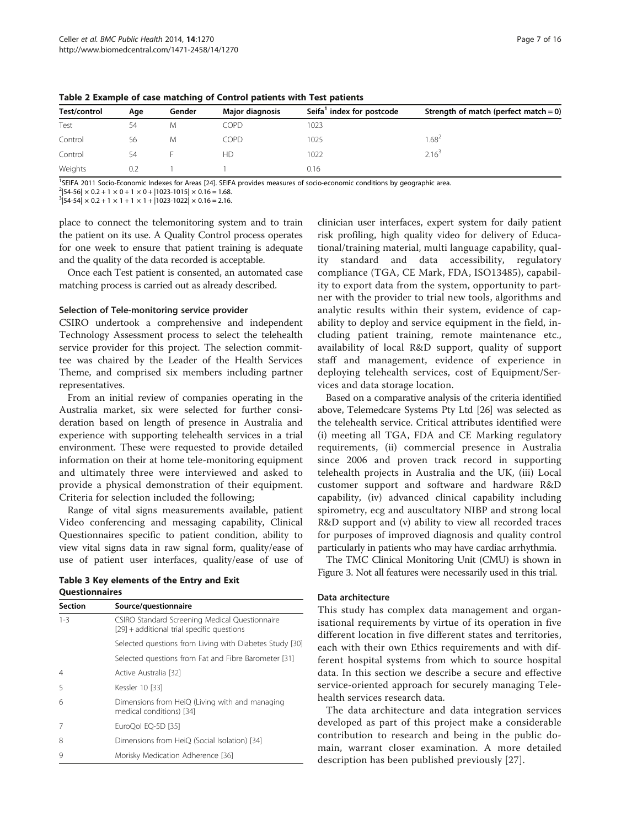| Test/control | Aae | Gender | Major diagnosis | Seifa <sup>1</sup> index for postcode | Strength of match (perfect match = $0$ ) |  |
|--------------|-----|--------|-----------------|---------------------------------------|------------------------------------------|--|
| Test         |     | M      | COPD.           | 1023                                  |                                          |  |
| Control      | 56  | M      | COPD.           | 1025                                  | 1.68 <sup>2</sup>                        |  |
| Control      |     |        | HD              | 1022                                  | $2.16^{3}$                               |  |
| Weights      |     |        |                 | 0.16                                  |                                          |  |

<span id="page-6-0"></span>Table 2 Example of case matching of Control patients with Test patients

 $^{1}$ SEIFA 2011 Socio-Economic Indexes for Areas [[24\]](#page-15-0). SEIFA provides measures of socio-economic conditions by geographic area.<br><sup>2</sup>ISA-S6L × 0.2 + 1 × 0 + 1 × 0 + 11023-1015L × 0.16 = 1.68

 $|^{2}$ |54-56|  $\times$  0.2 + 1  $\times$  0 + 1  $\times$  0 + |1023-1015|  $\times$  0.16 = 1.68.

 $3|54-54| \times 0.2 + 1 \times 1 + 1 \times 1 + |1023-1022| \times 0.16 = 2.16.$ 

place to connect the telemonitoring system and to train the patient on its use. A Quality Control process operates for one week to ensure that patient training is adequate and the quality of the data recorded is acceptable.

Once each Test patient is consented, an automated case matching process is carried out as already described.

#### Selection of Tele-monitoring service provider

CSIRO undertook a comprehensive and independent Technology Assessment process to select the telehealth service provider for this project. The selection committee was chaired by the Leader of the Health Services Theme, and comprised six members including partner representatives.

From an initial review of companies operating in the Australia market, six were selected for further consideration based on length of presence in Australia and experience with supporting telehealth services in a trial environment. These were requested to provide detailed information on their at home tele-monitoring equipment and ultimately three were interviewed and asked to provide a physical demonstration of their equipment. Criteria for selection included the following;

Range of vital signs measurements available, patient Video conferencing and messaging capability, Clinical Questionnaires specific to patient condition, ability to view vital signs data in raw signal form, quality/ease of use of patient user interfaces, quality/ease of use of

Table 3 Key elements of the Entry and Exit **Questionnaires** 

| Section | Source/questionnaire                                                                         |
|---------|----------------------------------------------------------------------------------------------|
| $1 - 3$ | CSIRO Standard Screening Medical Questionnaire<br>[29] + additional trial specific questions |
|         | Selected questions from Living with Diabetes Study [30]                                      |
|         | Selected questions from Fat and Fibre Barometer [31]                                         |
| 4       | Active Australia [32]                                                                        |
| 5       | Kessler 10 [33]                                                                              |
| 6       | Dimensions from HeiQ (Living with and managing<br>medical conditions) [34]                   |
|         | EuroOol EO-5D [35]                                                                           |
| 8       | Dimensions from HeiQ (Social Isolation) [34]                                                 |
| 9       | Morisky Medication Adherence [36]                                                            |

clinician user interfaces, expert system for daily patient risk profiling, high quality video for delivery of Educational/training material, multi language capability, quality standard and data accessibility, regulatory compliance (TGA, CE Mark, FDA, ISO13485), capability to export data from the system, opportunity to partner with the provider to trial new tools, algorithms and analytic results within their system, evidence of capability to deploy and service equipment in the field, including patient training, remote maintenance etc., availability of local R&D support, quality of support staff and management, evidence of experience in deploying telehealth services, cost of Equipment/Services and data storage location.

Based on a comparative analysis of the criteria identified above, Telemedcare Systems Pty Ltd [\[26\]](#page-15-0) was selected as the telehealth service. Critical attributes identified were (i) meeting all TGA, FDA and CE Marking regulatory requirements, (ii) commercial presence in Australia since 2006 and proven track record in supporting telehealth projects in Australia and the UK, (iii) Local customer support and software and hardware R&D capability, (iv) advanced clinical capability including spirometry, ecg and auscultatory NIBP and strong local R&D support and (v) ability to view all recorded traces for purposes of improved diagnosis and quality control particularly in patients who may have cardiac arrhythmia.

The TMC Clinical Monitoring Unit (CMU) is shown in Figure [3.](#page-7-0) Not all features were necessarily used in this trial.

#### Data architecture

This study has complex data management and organisational requirements by virtue of its operation in five different location in five different states and territories, each with their own Ethics requirements and with different hospital systems from which to source hospital data. In this section we describe a secure and effective service-oriented approach for securely managing Telehealth services research data.

The data architecture and data integration services developed as part of this project make a considerable contribution to research and being in the public domain, warrant closer examination. A more detailed description has been published previously [[27](#page-15-0)].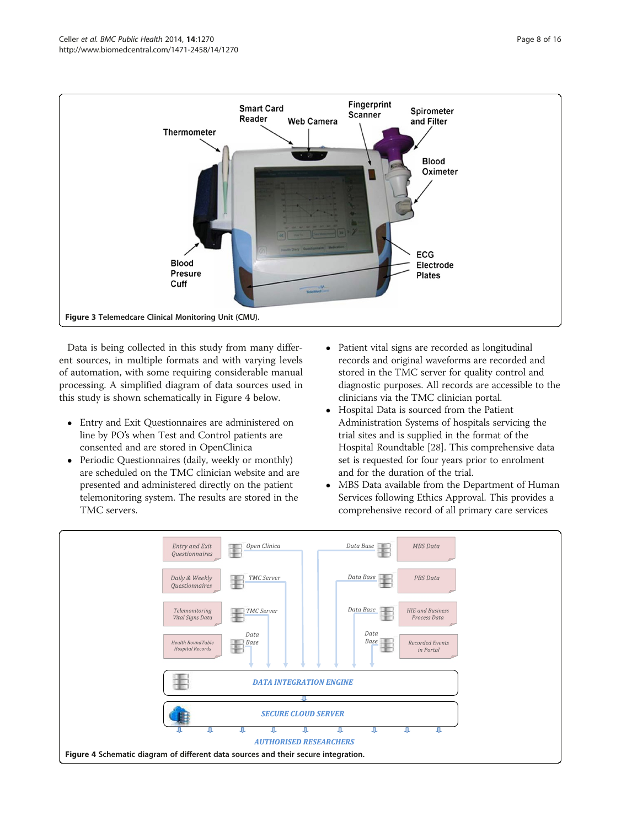<span id="page-7-0"></span>

Data is being collected in this study from many different sources, in multiple formats and with varying levels of automation, with some requiring considerable manual processing. A simplified diagram of data sources used in this study is shown schematically in Figure 4 below.

- Entry and Exit Questionnaires are administered on line by PO's when Test and Control patients are consented and are stored in OpenClinica
- Periodic Ouestionnaires (daily, weekly or monthly) are scheduled on the TMC clinician website and are presented and administered directly on the patient telemonitoring system. The results are stored in the TMC servers.
- Patient vital signs are recorded as longitudinal records and original waveforms are recorded and stored in the TMC server for quality control and diagnostic purposes. All records are accessible to the clinicians via the TMC clinician portal.
- Hospital Data is sourced from the Patient Administration Systems of hospitals servicing the trial sites and is supplied in the format of the Hospital Roundtable [\[28\]](#page-15-0). This comprehensive data set is requested for four years prior to enrolment and for the duration of the trial.
- MBS Data available from the Department of Human Services following Ethics Approval. This provides a comprehensive record of all primary care services

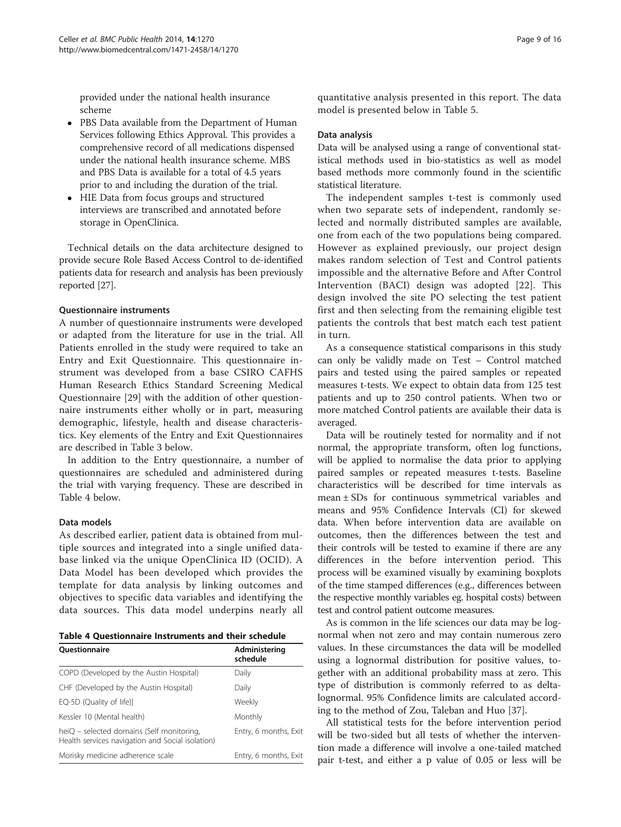provided under the national health insurance scheme

- PBS Data available from the Department of Human Services following Ethics Approval. This provides a comprehensive record of all medications dispensed under the national health insurance scheme. MBS and PBS Data is available for a total of 4.5 years prior to and including the duration of the trial.
- HIE Data from focus groups and structured interviews are transcribed and annotated before storage in OpenClinica.

Technical details on the data architecture designed to provide secure Role Based Access Control to de-identified patients data for research and analysis has been previously reported [\[27](#page-15-0)].

#### Questionnaire instruments

A number of questionnaire instruments were developed or adapted from the literature for use in the trial. All Patients enrolled in the study were required to take an Entry and Exit Questionnaire. This questionnaire instrument was developed from a base CSIRO CAFHS Human Research Ethics Standard Screening Medical Questionnaire [\[29](#page-15-0)] with the addition of other questionnaire instruments either wholly or in part, measuring demographic, lifestyle, health and disease characteristics. Key elements of the Entry and Exit Questionnaires are described in Table [3](#page-6-0) below.

In addition to the Entry questionnaire, a number of questionnaires are scheduled and administered during the trial with varying frequency. These are described in Table 4 below.

#### Data models

As described earlier, patient data is obtained from multiple sources and integrated into a single unified database linked via the unique OpenClinica ID (OCID). A Data Model has been developed which provides the template for data analysis by linking outcomes and objectives to specific data variables and identifying the data sources. This data model underpins nearly all

Table 4 Questionnaire Instruments and their schedule

| <b>Ouestionnaire</b>                                                                          | Administering<br>schedule |
|-----------------------------------------------------------------------------------------------|---------------------------|
| COPD (Developed by the Austin Hospital)                                                       | Daily                     |
| CHF (Developed by the Austin Hospital)                                                        | Daily                     |
| EQ-5D (Quality of life)]                                                                      | Weekly                    |
| Kessler 10 (Mental health)                                                                    | Monthly                   |
| heiQ - selected domains (Self monitoring,<br>Health services navigation and Social isolation) | Entry, 6 months, Exit     |
| Morisky medicine adherence scale                                                              | Entry, 6 months, Exit     |

quantitative analysis presented in this report. The data model is presented below in Table [5.](#page-9-0)

#### Data analysis

Data will be analysed using a range of conventional statistical methods used in bio-statistics as well as model based methods more commonly found in the scientific statistical literature.

The independent samples t-test is commonly used when two separate sets of independent, randomly selected and normally distributed samples are available, one from each of the two populations being compared. However as explained previously, our project design makes random selection of Test and Control patients impossible and the alternative Before and After Control Intervention (BACI) design was adopted [[22](#page-15-0)]. This design involved the site PO selecting the test patient first and then selecting from the remaining eligible test patients the controls that best match each test patient in turn.

As a consequence statistical comparisons in this study can only be validly made on Test – Control matched pairs and tested using the paired samples or repeated measures t-tests. We expect to obtain data from 125 test patients and up to 250 control patients. When two or more matched Control patients are available their data is averaged.

Data will be routinely tested for normality and if not normal, the appropriate transform, often log functions, will be applied to normalise the data prior to applying paired samples or repeated measures t-tests. Baseline characteristics will be described for time intervals as mean ± SDs for continuous symmetrical variables and means and 95% Confidence Intervals (CI) for skewed data. When before intervention data are available on outcomes, then the differences between the test and their controls will be tested to examine if there are any differences in the before intervention period. This process will be examined visually by examining boxplots of the time stamped differences (e.g., differences between the respective monthly variables eg. hospital costs) between test and control patient outcome measures.

As is common in the life sciences our data may be lognormal when not zero and may contain numerous zero values. In these circumstances the data will be modelled using a lognormal distribution for positive values, together with an additional probability mass at zero. This type of distribution is commonly referred to as deltalognormal. 95% Confidence limits are calculated according to the method of Zou, Taleban and Huo [[37\]](#page-15-0).

All statistical tests for the before intervention period will be two-sided but all tests of whether the intervention made a difference will involve a one-tailed matched pair t-test, and either a p value of 0.05 or less will be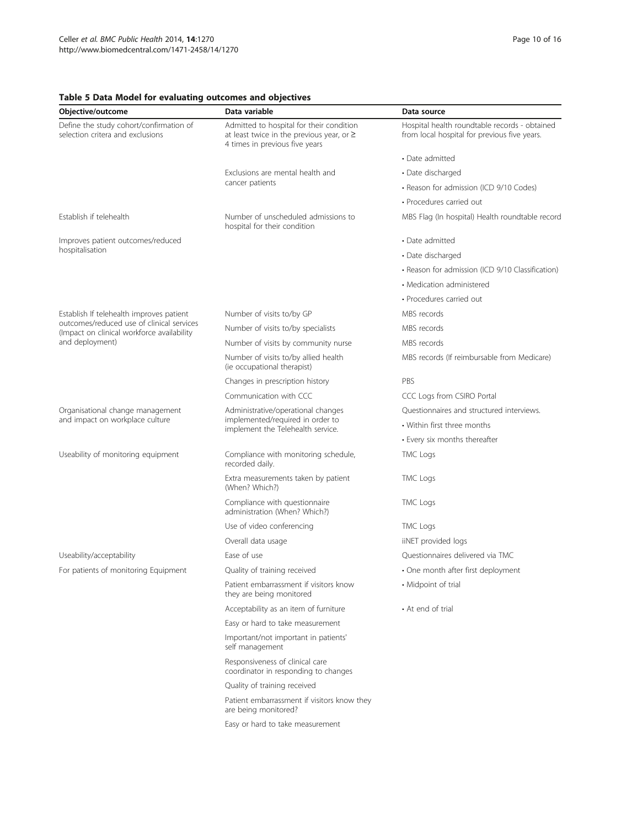## <span id="page-9-0"></span>Table 5 Data Model for evaluating outcomes and objectives

| Objective/outcome                                                                       | Data variable                                                                                                                | Data source                                                                                   |  |
|-----------------------------------------------------------------------------------------|------------------------------------------------------------------------------------------------------------------------------|-----------------------------------------------------------------------------------------------|--|
| Define the study cohort/confirmation of<br>selection critera and exclusions             | Admitted to hospital for their condition<br>at least twice in the previous year, or $\geq$<br>4 times in previous five years | Hospital health roundtable records - obtained<br>from local hospital for previous five years. |  |
|                                                                                         |                                                                                                                              | • Date admitted                                                                               |  |
|                                                                                         | Exclusions are mental health and                                                                                             | • Date discharged                                                                             |  |
|                                                                                         | cancer patients                                                                                                              | • Reason for admission (ICD 9/10 Codes)                                                       |  |
|                                                                                         |                                                                                                                              | • Procedures carried out                                                                      |  |
| Establish if telehealth                                                                 | Number of unscheduled admissions to<br>hospital for their condition                                                          | MBS Flag (In hospital) Health roundtable record                                               |  |
| Improves patient outcomes/reduced                                                       |                                                                                                                              | • Date admitted                                                                               |  |
| hospitalisation                                                                         |                                                                                                                              | • Date discharged                                                                             |  |
|                                                                                         |                                                                                                                              | • Reason for admission (ICD 9/10 Classification)                                              |  |
|                                                                                         |                                                                                                                              | • Medication administered                                                                     |  |
|                                                                                         |                                                                                                                              | • Procedures carried out                                                                      |  |
| Establish If telehealth improves patient                                                | Number of visits to/by GP                                                                                                    | MBS records                                                                                   |  |
| outcomes/reduced use of clinical services<br>(Impact on clinical workforce availability | Number of visits to/by specialists                                                                                           | MBS records                                                                                   |  |
| and deployment)                                                                         | Number of visits by community nurse                                                                                          | MBS records                                                                                   |  |
|                                                                                         | Number of visits to/by allied health<br>(ie occupational therapist)                                                          | MBS records (If reimbursable from Medicare)                                                   |  |
|                                                                                         | Changes in prescription history                                                                                              | PBS                                                                                           |  |
|                                                                                         | Communication with CCC                                                                                                       | CCC Logs from CSIRO Portal                                                                    |  |
| Organisational change management                                                        | Administrative/operational changes                                                                                           | Ouestionnaires and structured interviews.                                                     |  |
| and impact on workplace culture                                                         | implemented/required in order to<br>implement the Telehealth service.                                                        | • Within first three months                                                                   |  |
|                                                                                         |                                                                                                                              | • Every six months thereafter                                                                 |  |
| Useability of monitoring equipment                                                      | Compliance with monitoring schedule,<br>recorded daily.                                                                      | <b>TMC Logs</b>                                                                               |  |
|                                                                                         | Extra measurements taken by patient<br>(When? Which?)                                                                        | <b>TMC Logs</b>                                                                               |  |
|                                                                                         | Compliance with questionnaire<br>administration (When? Which?)                                                               | <b>TMC Logs</b>                                                                               |  |
|                                                                                         | Use of video conferencing                                                                                                    | <b>TMC Logs</b>                                                                               |  |
|                                                                                         | Overall data usage                                                                                                           | iiNET provided logs                                                                           |  |
| Useability/acceptability                                                                | Ease of use                                                                                                                  | Questionnaires delivered via TMC                                                              |  |
| For patients of monitoring Equipment                                                    | Quality of training received                                                                                                 | • One month after first deployment                                                            |  |
|                                                                                         | Patient embarrassment if visitors know<br>they are being monitored                                                           | • Midpoint of trial                                                                           |  |
|                                                                                         | Acceptability as an item of furniture                                                                                        | • At end of trial                                                                             |  |
|                                                                                         | Easy or hard to take measurement                                                                                             |                                                                                               |  |
|                                                                                         | Important/not important in patients'<br>self management                                                                      |                                                                                               |  |
|                                                                                         | Responsiveness of clinical care<br>coordinator in responding to changes                                                      |                                                                                               |  |
|                                                                                         | Quality of training received                                                                                                 |                                                                                               |  |
|                                                                                         | Patient embarrassment if visitors know they<br>are being monitored?                                                          |                                                                                               |  |
|                                                                                         | Easy or hard to take measurement                                                                                             |                                                                                               |  |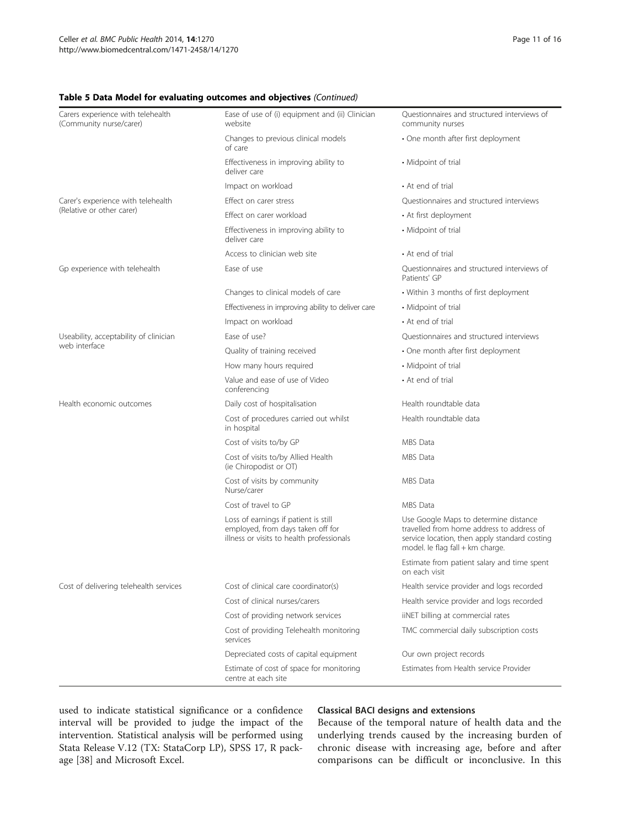#### Table 5 Data Model for evaluating outcomes and objectives (Continued)

| Carers experience with telehealth<br>(Community nurse/carer) | Ease of use of (i) equipment and (ii) Clinician<br>website                                                             | Questionnaires and structured interviews of<br>community nurses                                                                                                         |  |
|--------------------------------------------------------------|------------------------------------------------------------------------------------------------------------------------|-------------------------------------------------------------------------------------------------------------------------------------------------------------------------|--|
|                                                              | Changes to previous clinical models<br>of care                                                                         | • One month after first deployment                                                                                                                                      |  |
|                                                              | Effectiveness in improving ability to<br>deliver care                                                                  | • Midpoint of trial                                                                                                                                                     |  |
|                                                              | Impact on workload                                                                                                     | • At end of trial                                                                                                                                                       |  |
| Carer's experience with telehealth                           | Effect on carer stress                                                                                                 | Ouestionnaires and structured interviews                                                                                                                                |  |
| (Relative or other carer)                                    | Effect on carer workload                                                                                               | • At first deployment                                                                                                                                                   |  |
|                                                              | Effectiveness in improving ability to<br>deliver care                                                                  | • Midpoint of trial                                                                                                                                                     |  |
|                                                              | Access to clinician web site                                                                                           | • At end of trial                                                                                                                                                       |  |
| Gp experience with telehealth                                | Ease of use                                                                                                            | Questionnaires and structured interviews of<br>Patients' GP                                                                                                             |  |
|                                                              | Changes to clinical models of care                                                                                     | • Within 3 months of first deployment                                                                                                                                   |  |
|                                                              | Effectiveness in improving ability to deliver care                                                                     | • Midpoint of trial                                                                                                                                                     |  |
|                                                              | Impact on workload                                                                                                     | • At end of trial                                                                                                                                                       |  |
| Useability, acceptability of clinician                       | Fase of use?                                                                                                           | Ouestionnaires and structured interviews                                                                                                                                |  |
| web interface                                                | Quality of training received                                                                                           | • One month after first deployment                                                                                                                                      |  |
|                                                              | How many hours required                                                                                                | • Midpoint of trial                                                                                                                                                     |  |
|                                                              | Value and ease of use of Video<br>conferencing                                                                         | • At end of trial                                                                                                                                                       |  |
| Health economic outcomes                                     | Daily cost of hospitalisation                                                                                          | Health roundtable data                                                                                                                                                  |  |
|                                                              | Cost of procedures carried out whilst<br>in hospital                                                                   | Health roundtable data                                                                                                                                                  |  |
|                                                              | Cost of visits to/by GP                                                                                                | MBS Data                                                                                                                                                                |  |
|                                                              | Cost of visits to/by Allied Health<br>(ie Chiropodist or OT)                                                           | MBS Data                                                                                                                                                                |  |
|                                                              | Cost of visits by community<br>Nurse/carer                                                                             | MBS Data                                                                                                                                                                |  |
|                                                              | Cost of travel to GP                                                                                                   | MBS Data                                                                                                                                                                |  |
|                                                              | Loss of earnings if patient is still<br>employed, from days taken off for<br>illness or visits to health professionals | Use Google Maps to determine distance<br>travelled from home address to address of<br>service location, then apply standard costing<br>model. le flag fall + km charge. |  |
|                                                              |                                                                                                                        | Estimate from patient salary and time spent<br>on each visit the control of the control of the control of the control of the control of the control of the co           |  |
| Cost of delivering telehealth services                       | Cost of clinical care coordinator(s)                                                                                   | Health service provider and logs recorded                                                                                                                               |  |
|                                                              | Cost of clinical nurses/carers                                                                                         | Health service provider and logs recorded                                                                                                                               |  |
|                                                              | Cost of providing network services                                                                                     | iiNET billing at commercial rates                                                                                                                                       |  |
|                                                              | Cost of providing Telehealth monitoring<br>services                                                                    | TMC commercial daily subscription costs                                                                                                                                 |  |
|                                                              | Depreciated costs of capital equipment                                                                                 | Our own project records                                                                                                                                                 |  |
|                                                              | Estimate of cost of space for monitoring<br>centre at each site                                                        | Estimates from Health service Provider                                                                                                                                  |  |

used to indicate statistical significance or a confidence interval will be provided to judge the impact of the intervention. Statistical analysis will be performed using Stata Release V.12 (TX: StataCorp LP), SPSS 17, R package [\[38](#page-15-0)] and Microsoft Excel.

#### Classical BACI designs and extensions

Because of the temporal nature of health data and the underlying trends caused by the increasing burden of chronic disease with increasing age, before and after comparisons can be difficult or inconclusive. In this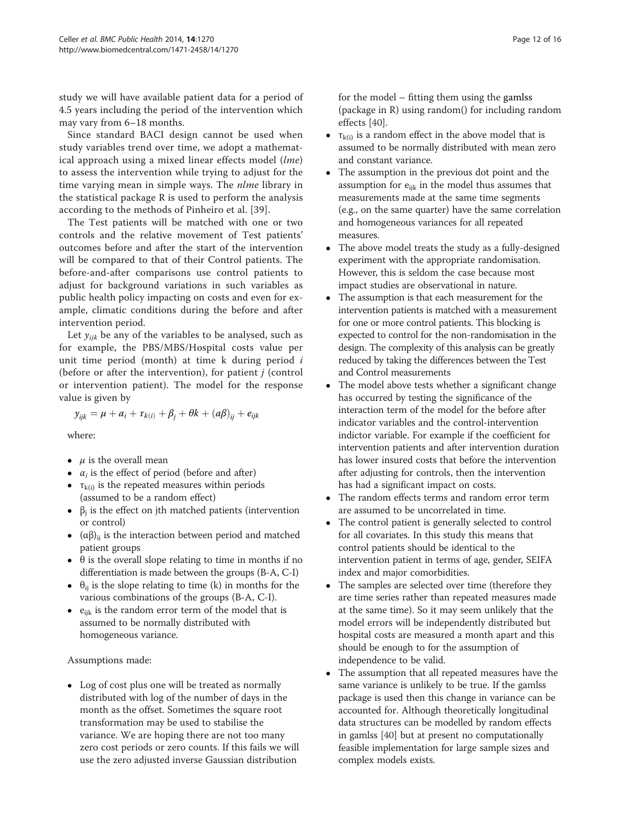study we will have available patient data for a period of 4.5 years including the period of the intervention which may vary from 6–18 months.

Since standard BACI design cannot be used when study variables trend over time, we adopt a mathematical approach using a mixed linear effects model (lme) to assess the intervention while trying to adjust for the time varying mean in simple ways. The *nlme* library in the statistical package R is used to perform the analysis according to the methods of Pinheiro et al. [\[39\]](#page-15-0).

The Test patients will be matched with one or two controls and the relative movement of Test patients' outcomes before and after the start of the intervention will be compared to that of their Control patients. The before-and-after comparisons use control patients to adjust for background variations in such variables as public health policy impacting on costs and even for example, climatic conditions during the before and after intervention period.

Let  $y_{ijk}$  be any of the variables to be analysed, such as for example, the PBS/MBS/Hospital costs value per unit time period (month) at time  $k$  during period  $i$ (before or after the intervention), for patient  $j$  (control or intervention patient). The model for the response value is given by

$$
y_{ijk} = \mu + a_i + r_{k(i)} + \beta_j + \theta k + (a\beta)_{ij} + e_{ijk}
$$

where:

- $\bullet$  *μ* is the overall mean
- $\alpha_i$  is the effect of period (before and after)
- $\tau_{k(i)}$  is the repeated measures within periods (assumed to be a random effect)
- $β<sub>i</sub>$  is the effect on jth matched patients (intervention or control)
- $(αβ)$ <sub>ii</sub> is the interaction between period and matched patient groups
- $\bullet$   $\theta$  is the overall slope relating to time in months if no differentiation is made between the groups (B-A, C-I)
- $\bullet$   $\theta_{ij}$  is the slope relating to time (k) in months for the various combinations of the groups (B-A, C-I).
- $e_{ijk}$  is the random error term of the model that is assumed to be normally distributed with homogeneous variance.

Assumptions made:

• Log of cost plus one will be treated as normally distributed with log of the number of days in the month as the offset. Sometimes the square root transformation may be used to stabilise the variance. We are hoping there are not too many zero cost periods or zero counts. If this fails we will use the zero adjusted inverse Gaussian distribution

for the model – fitting them using the gamlss (package in R) using random() for including random effects [[40\]](#page-15-0).

- $\tau_{k(i)}$  is a random effect in the above model that is assumed to be normally distributed with mean zero and constant variance.
- The assumption in the previous dot point and the assumption for  $e_{ijk}$  in the model thus assumes that measurements made at the same time segments (e.g., on the same quarter) have the same correlation and homogeneous variances for all repeated measures.
- The above model treats the study as a fully-designed experiment with the appropriate randomisation. However, this is seldom the case because most impact studies are observational in nature.
- The assumption is that each measurement for the intervention patients is matched with a measurement for one or more control patients. This blocking is expected to control for the non-randomisation in the design. The complexity of this analysis can be greatly reduced by taking the differences between the Test and Control measurements
- The model above tests whether a significant change has occurred by testing the significance of the interaction term of the model for the before after indicator variables and the control-intervention indictor variable. For example if the coefficient for intervention patients and after intervention duration has lower insured costs that before the intervention after adjusting for controls, then the intervention has had a significant impact on costs.
- The random effects terms and random error term are assumed to be uncorrelated in time.
- The control patient is generally selected to control for all covariates. In this study this means that control patients should be identical to the intervention patient in terms of age, gender, SEIFA index and major comorbidities.
- The samples are selected over time (therefore they are time series rather than repeated measures made at the same time). So it may seem unlikely that the model errors will be independently distributed but hospital costs are measured a month apart and this should be enough to for the assumption of independence to be valid.
- The assumption that all repeated measures have the same variance is unlikely to be true. If the gamlss package is used then this change in variance can be accounted for. Although theoretically longitudinal data structures can be modelled by random effects in gamlss [\[40\]](#page-15-0) but at present no computationally feasible implementation for large sample sizes and complex models exists.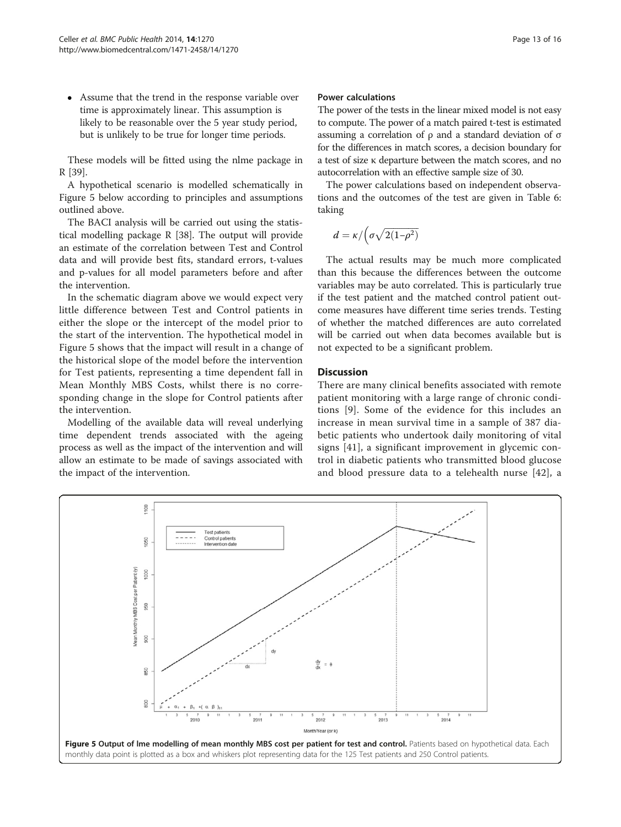Assume that the trend in the response variable over time is approximately linear. This assumption is likely to be reasonable over the 5 year study period, but is unlikely to be true for longer time periods.

These models will be fitted using the nlme package in R [[39\]](#page-15-0).

A hypothetical scenario is modelled schematically in Figure 5 below according to principles and assumptions outlined above.

The BACI analysis will be carried out using the statistical modelling package R [\[38](#page-15-0)]. The output will provide an estimate of the correlation between Test and Control data and will provide best fits, standard errors, t-values and p-values for all model parameters before and after the intervention.

In the schematic diagram above we would expect very little difference between Test and Control patients in either the slope or the intercept of the model prior to the start of the intervention. The hypothetical model in Figure 5 shows that the impact will result in a change of the historical slope of the model before the intervention for Test patients, representing a time dependent fall in Mean Monthly MBS Costs, whilst there is no corresponding change in the slope for Control patients after the intervention.

Modelling of the available data will reveal underlying time dependent trends associated with the ageing process as well as the impact of the intervention and will allow an estimate to be made of savings associated with the impact of the intervention.

#### Power calculations

The power of the tests in the linear mixed model is not easy to compute. The power of a match paired t-test is estimated assuming a correlation of ρ and a standard deviation of σ for the differences in match scores, a decision boundary for a test of size κ departure between the match scores, and no autocorrelation with an effective sample size of 30.

The power calculations based on independent observations and the outcomes of the test are given in Table [6](#page-13-0): taking

$$
d=\kappa/\Big(\sigma\sqrt{2(1\!-\!\rho^2)}
$$

The actual results may be much more complicated than this because the differences between the outcome variables may be auto correlated. This is particularly true if the test patient and the matched control patient outcome measures have different time series trends. Testing of whether the matched differences are auto correlated will be carried out when data becomes available but is not expected to be a significant problem.

#### **Discussion**

There are many clinical benefits associated with remote patient monitoring with a large range of chronic conditions [[9\]](#page-15-0). Some of the evidence for this includes an increase in mean survival time in a sample of 387 diabetic patients who undertook daily monitoring of vital signs [[41\]](#page-15-0), a significant improvement in glycemic control in diabetic patients who transmitted blood glucose and blood pressure data to a telehealth nurse [[42](#page-15-0)], a

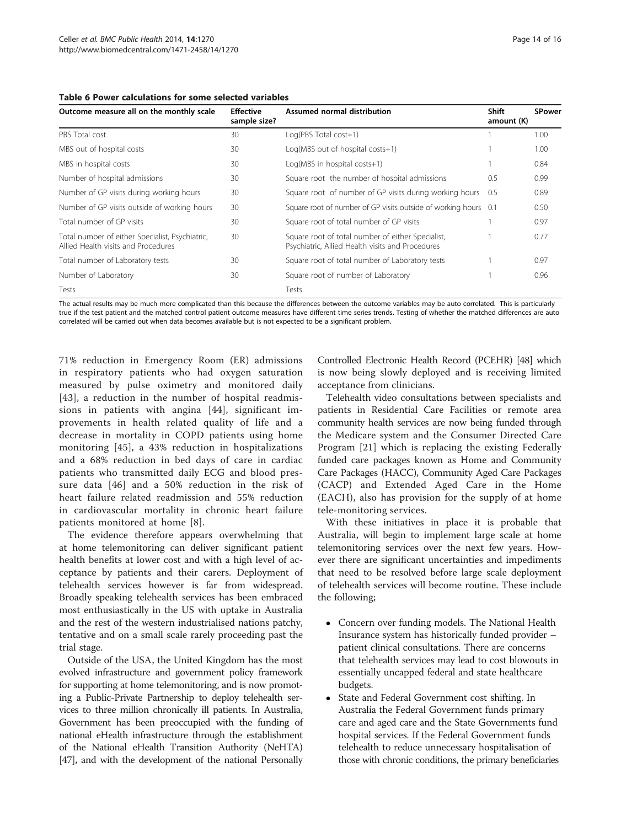| Outcome measure all on the monthly scale                                               | <b>Effective</b><br>sample size? | <b>Assumed normal distribution</b>                                                                    | <b>Shift</b><br>amount (K) | <b>SPower</b> |
|----------------------------------------------------------------------------------------|----------------------------------|-------------------------------------------------------------------------------------------------------|----------------------------|---------------|
| PBS Total cost                                                                         | 30                               | Log(PBS Total cost+1)                                                                                 |                            | 1.00          |
| MBS out of hospital costs                                                              | 30                               | $Log(MBS out of hospital costs+1)$                                                                    |                            | 1.00          |
| MBS in hospital costs                                                                  | 30                               | Log(MBS in hospital costs+1)                                                                          |                            | 0.84          |
| Number of hospital admissions                                                          | 30                               | Square root the number of hospital admissions                                                         | 0.5                        | 0.99          |
| Number of GP visits during working hours                                               | 30                               | Square root of number of GP visits during working hours                                               | 0.5                        | 0.89          |
| Number of GP visits outside of working hours                                           | 30                               | Square root of number of GP visits outside of working hours 0.1                                       |                            | 0.50          |
| Total number of GP visits                                                              | 30                               | Square root of total number of GP visits                                                              |                            | 0.97          |
| Total number of either Specialist, Psychiatric,<br>Allied Health visits and Procedures | 30                               | Square root of total number of either Specialist,<br>Psychiatric, Allied Health visits and Procedures |                            | 0.77          |
| Total number of Laboratory tests                                                       | 30                               | Square root of total number of Laboratory tests                                                       |                            | 0.97          |
| Number of Laboratory                                                                   | 30                               | Square root of number of Laboratory                                                                   |                            | 0.96          |
| Tests                                                                                  |                                  | Tests                                                                                                 |                            |               |

#### <span id="page-13-0"></span>Table 6 Power calculations for some selected variables

The actual results may be much more complicated than this because the differences between the outcome variables may be auto correlated. This is particularly true if the test patient and the matched control patient outcome measures have different time series trends. Testing of whether the matched differences are auto correlated will be carried out when data becomes available but is not expected to be a significant problem.

71% reduction in Emergency Room (ER) admissions in respiratory patients who had oxygen saturation measured by pulse oximetry and monitored daily [[43](#page-15-0)], a reduction in the number of hospital readmissions in patients with angina [[44](#page-15-0)], significant improvements in health related quality of life and a decrease in mortality in COPD patients using home monitoring [[45\]](#page-15-0), a 43% reduction in hospitalizations and a 68% reduction in bed days of care in cardiac patients who transmitted daily ECG and blood pressure data [\[46\]](#page-15-0) and a 50% reduction in the risk of heart failure related readmission and 55% reduction in cardiovascular mortality in chronic heart failure patients monitored at home [[8\]](#page-15-0).

The evidence therefore appears overwhelming that at home telemonitoring can deliver significant patient health benefits at lower cost and with a high level of acceptance by patients and their carers. Deployment of telehealth services however is far from widespread. Broadly speaking telehealth services has been embraced most enthusiastically in the US with uptake in Australia and the rest of the western industrialised nations patchy, tentative and on a small scale rarely proceeding past the trial stage.

Outside of the USA, the United Kingdom has the most evolved infrastructure and government policy framework for supporting at home telemonitoring, and is now promoting a Public-Private Partnership to deploy telehealth services to three million chronically ill patients. In Australia, Government has been preoccupied with the funding of national eHealth infrastructure through the establishment of the National eHealth Transition Authority (NeHTA) [[47](#page-15-0)], and with the development of the national Personally Controlled Electronic Health Record (PCEHR) [[48](#page-15-0)] which is now being slowly deployed and is receiving limited acceptance from clinicians.

Telehealth video consultations between specialists and patients in Residential Care Facilities or remote area community health services are now being funded through the Medicare system and the Consumer Directed Care Program [[21](#page-15-0)] which is replacing the existing Federally funded care packages known as Home and Community Care Packages (HACC), Community Aged Care Packages (CACP) and Extended Aged Care in the Home (EACH), also has provision for the supply of at home tele-monitoring services.

With these initiatives in place it is probable that Australia, will begin to implement large scale at home telemonitoring services over the next few years. However there are significant uncertainties and impediments that need to be resolved before large scale deployment of telehealth services will become routine. These include the following;

- Concern over funding models. The National Health Insurance system has historically funded provider – patient clinical consultations. There are concerns that telehealth services may lead to cost blowouts in essentially uncapped federal and state healthcare budgets.
- State and Federal Government cost shifting. In Australia the Federal Government funds primary care and aged care and the State Governments fund hospital services. If the Federal Government funds telehealth to reduce unnecessary hospitalisation of those with chronic conditions, the primary beneficiaries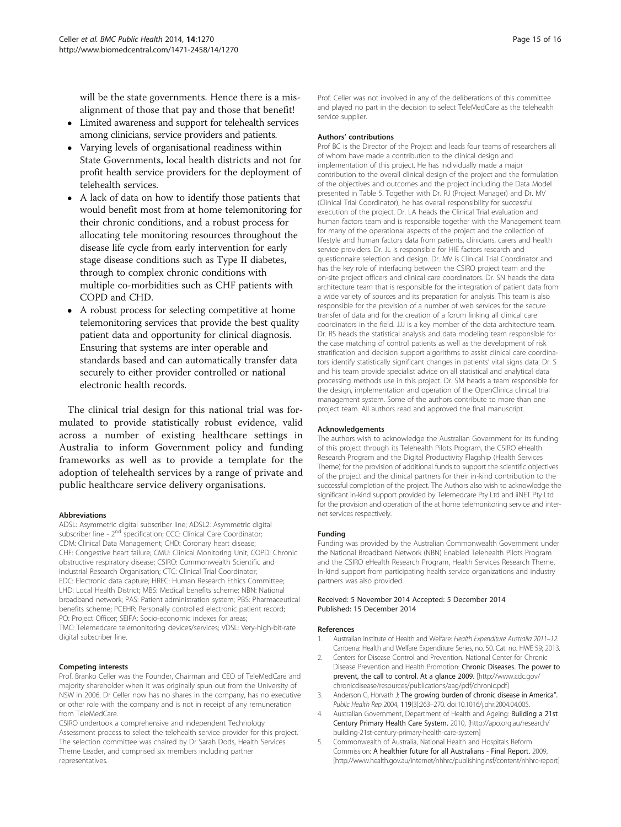<span id="page-14-0"></span>will be the state governments. Hence there is a misalignment of those that pay and those that benefit!

- Limited awareness and support for telehealth services among clinicians, service providers and patients.
- Varying levels of organisational readiness within State Governments, local health districts and not for profit health service providers for the deployment of telehealth services.
- A lack of data on how to identify those patients that would benefit most from at home telemonitoring for their chronic conditions, and a robust process for allocating tele monitoring resources throughout the disease life cycle from early intervention for early stage disease conditions such as Type II diabetes, through to complex chronic conditions with multiple co-morbidities such as CHF patients with COPD and CHD.
- A robust process for selecting competitive at home telemonitoring services that provide the best quality patient data and opportunity for clinical diagnosis. Ensuring that systems are inter operable and standards based and can automatically transfer data securely to either provider controlled or national electronic health records.

The clinical trial design for this national trial was formulated to provide statistically robust evidence, valid across a number of existing healthcare settings in Australia to inform Government policy and funding frameworks as well as to provide a template for the adoption of telehealth services by a range of private and public healthcare service delivery organisations.

#### Abbreviations

ADSL: Asymmetric digital subscriber line; ADSL2: Asymmetric digital subscriber line - 2<sup>nd</sup> specification; CCC: Clinical Care Coordinator; CDM: Clinical Data Management; CHD: Coronary heart disease; CHF: Congestive heart failure; CMU: Clinical Monitoring Unit; COPD: Chronic obstructive respiratory disease; CSIRO: Commonwealth Scientific and Industrial Research Organisation; CTC: Clinical Trial Coordinator; EDC: Electronic data capture; HREC: Human Research Ethics Committee; LHD: Local Health District; MBS: Medical benefits scheme; NBN: National broadband network; PAS: Patient administration system; PBS: Pharmaceutical benefits scheme; PCEHR: Personally controlled electronic patient record; PO: Project Officer; SEIFA: Socio-economic indexes for areas; TMC: Telemedcare telemonitoring devices/services; VDSL: Very-high-bit-rate digital subscriber line.

#### Competing interests

Prof. Branko Celler was the Founder, Chairman and CEO of TeleMedCare and majority shareholder when it was originally spun out from the University of NSW in 2006. Dr Celler now has no shares in the company, has no executive or other role with the company and is not in receipt of any remuneration from TeleMedCare.

CSIRO undertook a comprehensive and independent Technology Assessment process to select the telehealth service provider for this project. The selection committee was chaired by Dr Sarah Dods, Health Services Theme Leader, and comprised six members including partner representatives.

Prof. Celler was not involved in any of the deliberations of this committee and played no part in the decision to select TeleMedCare as the telehealth service supplier.

#### Authors' contributions

Prof BC is the Director of the Project and leads four teams of researchers all of whom have made a contribution to the clinical design and implementation of this project. He has individually made a major contribution to the overall clinical design of the project and the formulation of the objectives and outcomes and the project including the Data Model presented in Table [5.](#page-9-0) Together with Dr. RJ (Project Manager) and Dr. MV (Clinical Trial Coordinator), he has overall responsibility for successful execution of the project. Dr. LA heads the Clinical Trial evaluation and human factors team and is responsible together with the Management team for many of the operational aspects of the project and the collection of lifestyle and human factors data from patients, clinicians, carers and health service providers. Dr. JL is responsible for HIE factors research and questionnaire selection and design. Dr. MV is Clinical Trial Coordinator and has the key role of interfacing between the CSIRO project team and the on-site project officers and clinical care coordinators. Dr. SN heads the data architecture team that is responsible for the integration of patient data from a wide variety of sources and its preparation for analysis. This team is also responsible for the provision of a number of web services for the secure transfer of data and for the creation of a forum linking all clinical care coordinators in the field. JJJ is a key member of the data architecture team. Dr. RS heads the statistical analysis and data modeling team responsible for the case matching of control patients as well as the development of risk stratification and decision support algorithms to assist clinical care coordinators identify statistically significant changes in patients' vital signs data. Dr. S and his team provide specialist advice on all statistical and analytical data processing methods use in this project. Dr. SM heads a team responsible for the design, implementation and operation of the OpenClinica clinical trial management system. Some of the authors contribute to more than one project team. All authors read and approved the final manuscript.

#### Acknowledgements

The authors wish to acknowledge the Australian Government for its funding of this project through its Telehealth Pilots Program, the CSIRO eHealth Research Program and the Digital Productivity Flagship (Health Services Theme) for the provision of additional funds to support the scientific objectives of the project and the clinical partners for their in-kind contribution to the successful completion of the project. The Authors also wish to acknowledge the significant in-kind support provided by Telemedcare Pty Ltd and iiNET Pty Ltd for the provision and operation of the at home telemonitoring service and internet services respectively.

#### Funding

Funding was provided by the Australian Commonwealth Government under the National Broadband Network (NBN) Enabled Telehealth Pilots Program and the CSIRO eHealth Research Program, Health Services Research Theme. In-kind support from participating health service organizations and industry partners was also provided.

#### Received: 5 November 2014 Accepted: 5 December 2014 Published: 15 December 2014

#### References

- 1. Australian Institute of Health and Welfare: Health Expenditure Australia 2011–12. Canberra: Health and Welfare Expenditure Series, no. 50. Cat. no. HWE 59; 2013.
- 2. Centers for Disease Control and Prevention. National Center for Chronic Disease Prevention and Health Promotion: Chronic Diseases. The power to prevent, the call to control. At a glance 2009. [\[http://www.cdc.gov/](http://www.cdc.gov/chronicdisease/resources/publications/aag/pdf/chronic.pdf) [chronicdisease/resources/publications/aag/pdf/chronic.pdf\]](http://www.cdc.gov/chronicdisease/resources/publications/aag/pdf/chronic.pdf)
- 3. Anderson G, Horvath J: The growing burden of chronic disease in America". Public Health Rep 2004, 119(3):263–270. doi:10.1016/j.phr.2004.04.005.
- 4. Australian Government, Department of Health and Ageing: Building a 21st Century Primary Health Care System. 2010, [[http://apo.org.au/research/](http://apo.org.au/research/building-21st-century-primary-health-care-system) [building-21st-century-primary-health-care-system](http://apo.org.au/research/building-21st-century-primary-health-care-system)]
- 5. Commonwealth of Australia, National Health and Hospitals Reform Commission: A healthier future for all Australians - Final Report. 2009, [<http://www.health.gov.au/internet/nhhrc/publishing.nsf/content/nhhrc-report>]